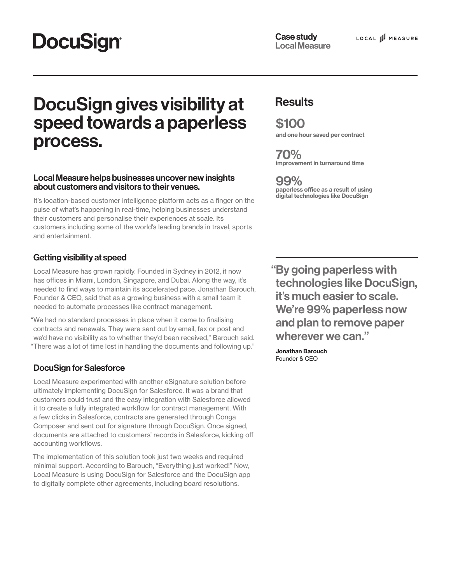# **DocuSign®**

# DocuSign gives visibility at Results speed towards a paperless process.

### Local Measure helps businesses uncover new insights about customers and visitors to their venues.

It's location-based customer intelligence platform acts as a finger on the pulse of what's happening in real-time, helping businesses understand their customers and personalise their experiences at scale. Its customers including some of the world's leading brands in travel, sports and entertainment.

## Getting visibility at speed

Local Measure has grown rapidly. Founded in Sydney in 2012, it now has offices in Miami, London, Singapore, and Dubai. Along the way, it's needed to find ways to maintain its accelerated pace. Jonathan Barouch, Founder & CEO, said that as a growing business with a small team it needed to automate processes like contract management.

"We had no standard processes in place when it came to finalising contracts and renewals. They were sent out by email, fax or post and we'd have no visibility as to whether they'd been received," Barouch said. "There was a lot of time lost in handling the documents and following up."

## DocuSign for Salesforce

Local Measure experimented with another eSignature solution before ultimately implementing DocuSign for Salesforce. It was a brand that customers could trust and the easy integration with Salesforce allowed it to create a fully integrated workflow for contract management. With a few clicks in Salesforce, contracts are generated through Conga Composer and sent out for signature through DocuSign. Once signed, documents are attached to customers' records in Salesforce, kicking off accounting workflows.

The implementation of this solution took just two weeks and required minimal support. According to Barouch, "Everything just worked!" Now, Local Measure is using DocuSign for Salesforce and the DocuSign app to digitally complete other agreements, including board resolutions.

\$100 and one hour saved per contract

70% improvement in turnaround time

99% paperless office as a result of using digital technologies like DocuSign

"By going paperless with technologies like DocuSign, it's much easier to scale. We're 99% paperless now and plan to remove paper wherever we can."

Jonathan Barouch Founder & CEO